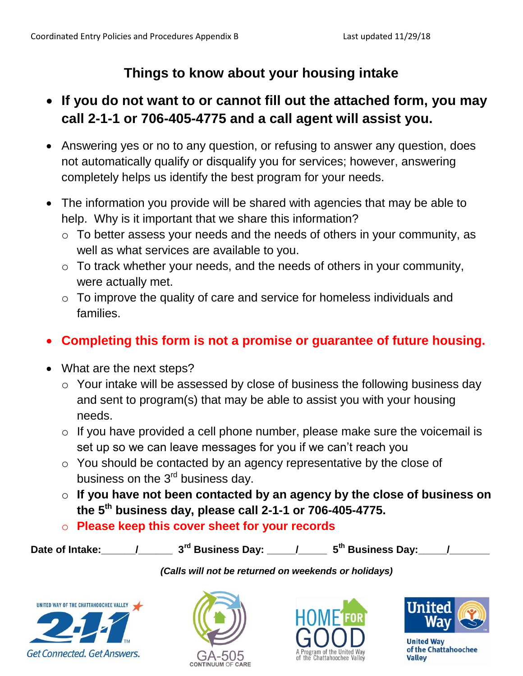## **Things to know about your housing intake**

## **If you do not want to or cannot fill out the attached form, you may call 2-1-1 or 706-405-4775 and a call agent will assist you.**

- Answering yes or no to any question, or refusing to answer any question, does not automatically qualify or disqualify you for services; however, answering completely helps us identify the best program for your needs.
- The information you provide will be shared with agencies that may be able to help. Why is it important that we share this information?
	- o To better assess your needs and the needs of others in your community, as well as what services are available to you.
	- o To track whether your needs, and the needs of others in your community, were actually met.
	- o To improve the quality of care and service for homeless individuals and families.

## **Completing this form is not a promise or guarantee of future housing.**

- What are the next steps?
	- o Your intake will be assessed by close of business the following business day and sent to program(s) that may be able to assist you with your housing needs.
	- o If you have provided a cell phone number, please make sure the voicemail is set up so we can leave messages for you if we can't reach you
	- o You should be contacted by an agency representative by the close of business on the  $3<sup>rd</sup>$  business day.
	- o **If you have not been contacted by an agency by the close of business on the 5th business day, please call 2-1-1 or 706-405-4775.**
	- o **Please keep this cover sheet for your records**

Date of Intake: \_\_\_\_\_\_/\_\_\_\_\_\_\_\_ 3<sup>rd</sup> Business Day: \_\_\_\_\_/\_\_\_\_\_\_\_ 5<sup>th</sup> Business Day: \_\_\_\_\_/

*(Calls will not be returned on weekends or holidays)* 









**Jnited Way** of the Chattahoochee **Valley**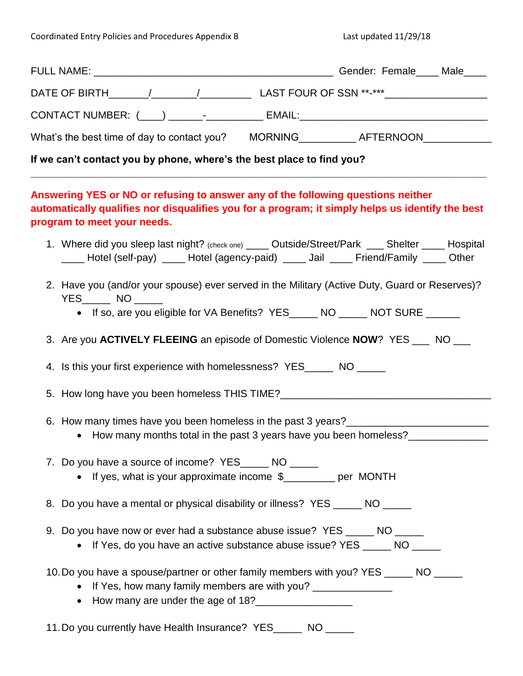| DATE OF BIRTH_______/_________/_________________LAST FOUR OF SSN **-***_________________                                                                                                                            |  |
|---------------------------------------------------------------------------------------------------------------------------------------------------------------------------------------------------------------------|--|
| CONTACT NUMBER: (____) _______--_________ EMAIL:________________________________                                                                                                                                    |  |
| What's the best time of day to contact you? MORNING___________AFTERNOON__________                                                                                                                                   |  |
| If we can't contact you by phone, where's the best place to find you?                                                                                                                                               |  |
| Answering YES or NO or refusing to answer any of the following questions neither<br>automatically qualifies nor disqualifies you for a program; it simply helps us identify the best<br>program to meet your needs. |  |
| 1. Where did you sleep last night? (check one) _____ Outside/Street/Park ____ Shelter _____ Hospital<br>____ Hotel (self-pay) ____ Hotel (agency-paid) ____ Jail ____ Friend/Family ____ Other                      |  |
| 2. Have you (and/or your spouse) ever served in the Military (Active Duty, Guard or Reserves)?<br>$YES$ NO $\_$<br>• If so, are you eligible for VA Benefits? YES_____ NO _____ NOT SURE ______                     |  |
| 3. Are you ACTIVELY FLEEING an episode of Domestic Violence NOW? YES ___ NO ___                                                                                                                                     |  |
| 4. Is this your first experience with homelessness? YES______ NO _____                                                                                                                                              |  |
| 5. How long have you been homeless THIS TIME?___________________________________                                                                                                                                    |  |
| 6. How many times have you been homeless in the past 3 years?<br>• How many months total in the past 3 years have you been homeless?                                                                                |  |
| 7. Do you have a source of income? YES______ NO _____<br>• If yes, what is your approximate income \$________ per MONTH                                                                                             |  |
| 8. Do you have a mental or physical disability or illness? YES _____ NO _____                                                                                                                                       |  |
| 9. Do you have now or ever had a substance abuse issue? YES _____ NO _____<br>• If Yes, do you have an active substance abuse issue? YES _____ NO _____                                                             |  |
| 10. Do you have a spouse/partner or other family members with you? YES ______ NO _____<br>• If Yes, how many family members are with you? ______________<br>• How many are under the age of 18?                     |  |
| 11. Do you currently have Health Insurance? YES______ NO _____                                                                                                                                                      |  |